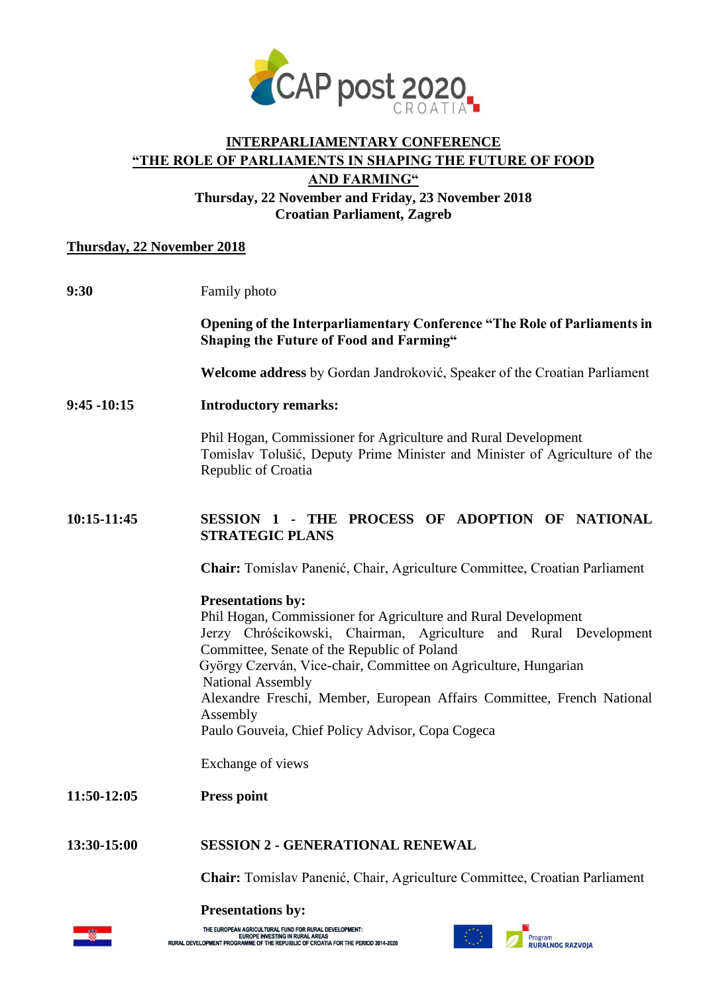

# **INTERPARLIAMENTARY CONFERENCE "THE ROLE OF PARLIAMENTS IN SHAPING THE FUTURE OF FOOD AND FARMING" Thursday, 22 November and Friday, 23 November 2018**

**Croatian Parliament, Zagreb**

## **Thursday, 22 November 2018**

| 9:30           | Family photo                                                                                                                                                                                                                                                                                                                                                                                                                                    |
|----------------|-------------------------------------------------------------------------------------------------------------------------------------------------------------------------------------------------------------------------------------------------------------------------------------------------------------------------------------------------------------------------------------------------------------------------------------------------|
|                | Opening of the Interparliamentary Conference "The Role of Parliaments in<br><b>Shaping the Future of Food and Farming"</b>                                                                                                                                                                                                                                                                                                                      |
|                | Welcome address by Gordan Jandroković, Speaker of the Croatian Parliament                                                                                                                                                                                                                                                                                                                                                                       |
| $9:45 - 10:15$ | <b>Introductory remarks:</b>                                                                                                                                                                                                                                                                                                                                                                                                                    |
|                | Phil Hogan, Commissioner for Agriculture and Rural Development<br>Tomislav Tolušić, Deputy Prime Minister and Minister of Agriculture of the<br>Republic of Croatia                                                                                                                                                                                                                                                                             |
| 10:15-11:45    | SESSION 1 - THE PROCESS OF ADOPTION OF NATIONAL<br><b>STRATEGIC PLANS</b>                                                                                                                                                                                                                                                                                                                                                                       |
|                | Chair: Tomislav Panenić, Chair, Agriculture Committee, Croatian Parliament                                                                                                                                                                                                                                                                                                                                                                      |
|                | <b>Presentations by:</b><br>Phil Hogan, Commissioner for Agriculture and Rural Development<br>Jerzy Chróścikowski, Chairman, Agriculture and Rural Development<br>Committee, Senate of the Republic of Poland<br>György Czerván, Vice-chair, Committee on Agriculture, Hungarian<br>National Assembly<br>Alexandre Freschi, Member, European Affairs Committee, French National<br>Assembly<br>Paulo Gouveia, Chief Policy Advisor, Copa Cogeca |
|                | Exchange of views                                                                                                                                                                                                                                                                                                                                                                                                                               |
| 11:50-12:05    | <b>Press point</b>                                                                                                                                                                                                                                                                                                                                                                                                                              |
| 13:30-15:00    | <b>SESSION 2 - GENERATIONAL RENEWAL</b>                                                                                                                                                                                                                                                                                                                                                                                                         |
|                | Chair: Tomislav Panenić, Chair, Agriculture Committee, Croatian Parliament                                                                                                                                                                                                                                                                                                                                                                      |
|                | <b>Presentations by:</b>                                                                                                                                                                                                                                                                                                                                                                                                                        |



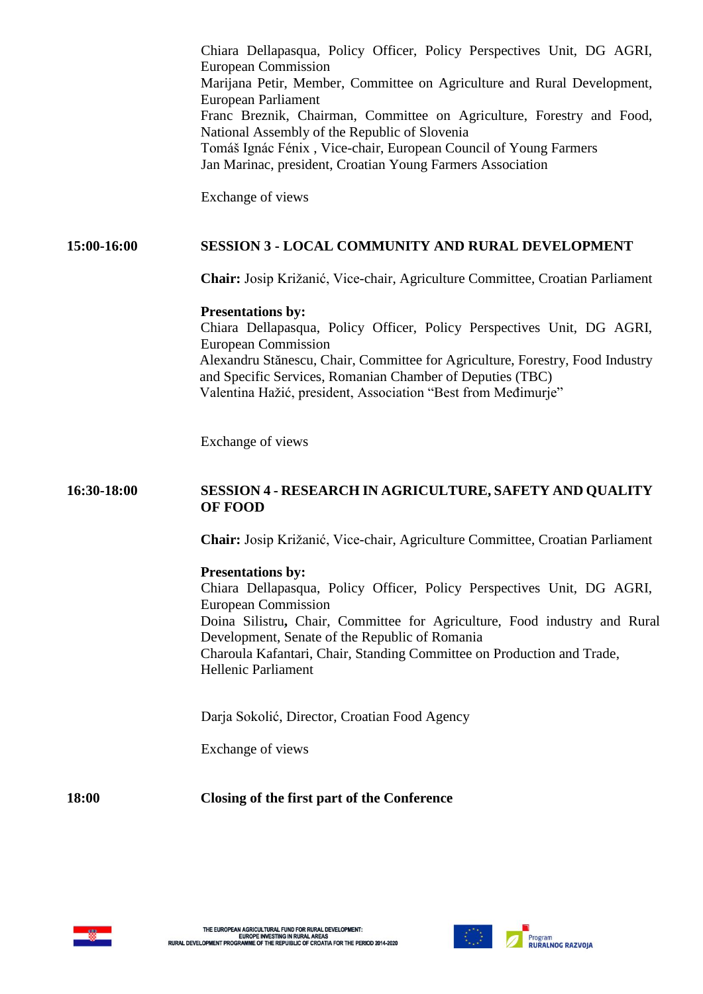|             | Chiara Dellapasqua, Policy Officer, Policy Perspectives Unit, DG AGRI,<br><b>European Commission</b><br>Marijana Petir, Member, Committee on Agriculture and Rural Development,<br>European Parliament<br>Franc Breznik, Chairman, Committee on Agriculture, Forestry and Food,<br>National Assembly of the Republic of Slovenia<br>Tomáš Ignác Fénix, Vice-chair, European Council of Young Farmers<br>Jan Marinac, president, Croatian Young Farmers Association<br>Exchange of views |
|-------------|-----------------------------------------------------------------------------------------------------------------------------------------------------------------------------------------------------------------------------------------------------------------------------------------------------------------------------------------------------------------------------------------------------------------------------------------------------------------------------------------|
| 15:00-16:00 | <b>SESSION 3 - LOCAL COMMUNITY AND RURAL DEVELOPMENT</b>                                                                                                                                                                                                                                                                                                                                                                                                                                |
|             | Chair: Josip Križanić, Vice-chair, Agriculture Committee, Croatian Parliament                                                                                                                                                                                                                                                                                                                                                                                                           |
|             | <b>Presentations by:</b><br>Chiara Dellapasqua, Policy Officer, Policy Perspectives Unit, DG AGRI,<br><b>European Commission</b><br>Alexandru Stănescu, Chair, Committee for Agriculture, Forestry, Food Industry<br>and Specific Services, Romanian Chamber of Deputies (TBC)<br>Valentina Hažić, president, Association "Best from Međimurje"                                                                                                                                         |
|             | Exchange of views                                                                                                                                                                                                                                                                                                                                                                                                                                                                       |
| 16:30-18:00 | SESSION 4 - RESEARCH IN AGRICULTURE, SAFETY AND QUALITY<br><b>OF FOOD</b>                                                                                                                                                                                                                                                                                                                                                                                                               |
|             | Chair: Josip Križanić, Vice-chair, Agriculture Committee, Croatian Parliament                                                                                                                                                                                                                                                                                                                                                                                                           |
|             | <b>Presentations by:</b><br>Chiara Dellapasqua, Policy Officer, Policy Perspectives Unit, DG AGRI,<br><b>European Commission</b><br>Doina Silistru, Chair, Committee for Agriculture, Food industry and Rural<br>Development, Senate of the Republic of Romania<br>Charoula Kafantari, Chair, Standing Committee on Production and Trade,<br><b>Hellenic Parliament</b>                                                                                                                 |
|             | Darja Sokolić, Director, Croatian Food Agency                                                                                                                                                                                                                                                                                                                                                                                                                                           |
|             | Exchange of views                                                                                                                                                                                                                                                                                                                                                                                                                                                                       |
| 18:00       | Closing of the first part of the Conference                                                                                                                                                                                                                                                                                                                                                                                                                                             |